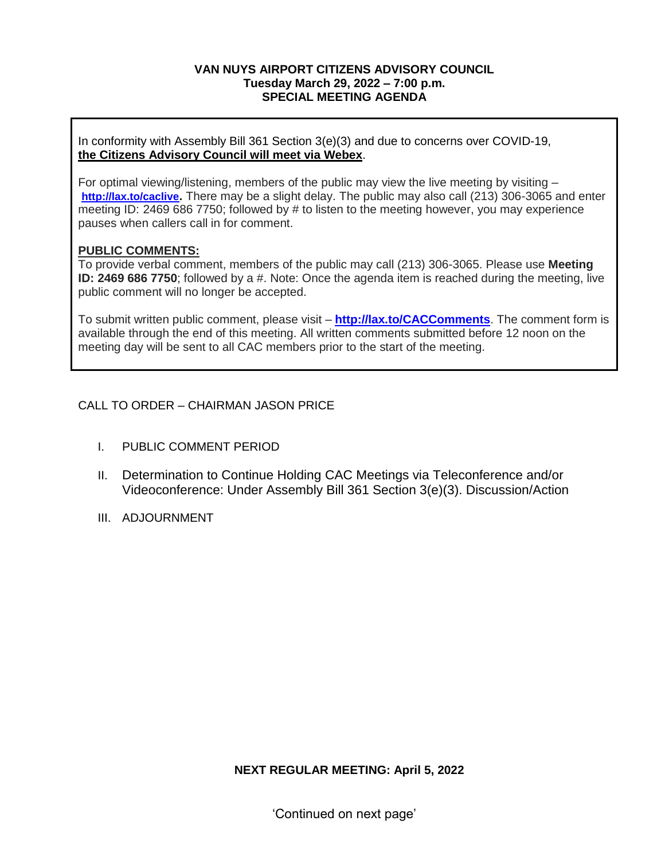### **VAN NUYS AIRPORT CITIZENS ADVISORY COUNCIL Tuesday March 29, 2022 – 7:00 p.m. SPECIAL MEETING AGENDA**

In conformity with Assembly Bill 361 Section 3(e)(3) and due to concerns over COVID-19, **the Citizens Advisory Council will meet via Webex**.

For optimal viewing/listening, members of the public may view the live meeting by visiting – **<http://lax.to/caclive>.** There may be a slight delay. The public may also call (213) 306-3065 and enter meeting ID: 2469 686 7750; followed by # to listen to the meeting however, you may experience pauses when callers call in for comment.

## **PUBLIC COMMENTS:**

To provide verbal comment, members of the public may call (213) 306-3065. Please use **Meeting ID: 2469 686 7750**; followed by a #. Note: Once the agenda item is reached during the meeting, live public comment will no longer be accepted.

To submit written public comment, please visit – **<http://lax.to/CACComments>**. The comment form is available through the end of this meeting. All written comments submitted before 12 noon on the meeting day will be sent to all CAC members prior to the start of the meeting.

# CALL TO ORDER – CHAIRMAN JASON PRICE

- I. PUBLIC COMMENT PERIOD
- II. Determination to Continue Holding CAC Meetings via Teleconference and/or Videoconference: Under Assembly Bill 361 Section 3(e)(3). Discussion/Action
- III. ADJOURNMENT

**NEXT REGULAR MEETING: April 5, 2022**

'Continued on next page'